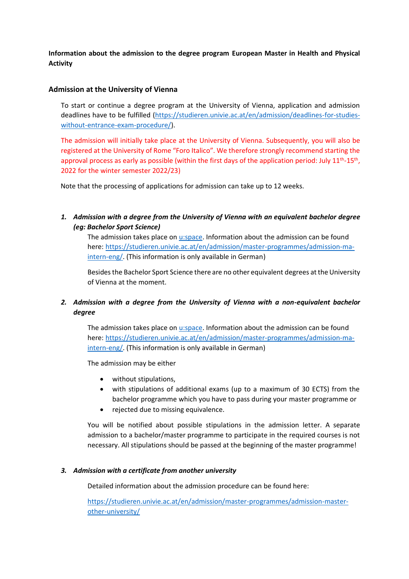**Information about the admission to the degree program European Master in Health and Physical Activity**

## **Admission at the University of Vienna**

To start or continue a degree program at the University of Vienna, application and admission deadlines have to be fulfilled [\(https://studieren.univie.ac.at/en/admission/deadlines-for-studies](https://studieren.univie.ac.at/en/admission/deadlines-for-studies-without-entrance-exam-procedure/)[without-entrance-exam-procedure/\)](https://studieren.univie.ac.at/en/admission/deadlines-for-studies-without-entrance-exam-procedure/).

The admission will initially take place at the University of Vienna. Subsequently, you will also be registered at the University of Rome "Foro Italico". We therefore strongly recommend starting the approval process as early as possible (within the first days of the application period: July 11<sup>th</sup>-15<sup>th</sup>, 2022 for the winter semester 2022/23)

Note that the processing of applications for admission can take up to 12 weeks.

*1. Admission with a degree from the University of Vienna with an equivalent bachelor degree (eg: Bachelor Sport Science)* 

The admission takes place o[n u:space.](https://uspace.univie.ac.at/en/web/gast/home) Information about the admission can be found here: [https://studieren.univie.ac.at/en/admission/master-programmes/admission-ma](https://studieren.univie.ac.at/en/admission/master-programmes/admission-ma-intern-eng/)[intern-eng/.](https://studieren.univie.ac.at/en/admission/master-programmes/admission-ma-intern-eng/) (This information is only available in German)

Besides the Bachelor Sport Science there are no other equivalent degrees at the University of Vienna at the moment.

## *2. Admission with a degree from the University of Vienna with a non-equivalent bachelor degree*

The admission takes place o[n u:space.](https://uspace.univie.ac.at/en/web/gast/home) Information about the admission can be found here: [https://studieren.univie.ac.at/en/admission/master-programmes/admission-ma](https://studieren.univie.ac.at/en/admission/master-programmes/admission-ma-intern-eng/)[intern-eng/.](https://studieren.univie.ac.at/en/admission/master-programmes/admission-ma-intern-eng/) (This information is only available in German)

The admission may be either

- without stipulations,
- with stipulations of additional exams (up to a maximum of 30 ECTS) from the bachelor programme which you have to pass during your master programme or
- rejected due to missing equivalence.

You will be notified about possible stipulations in the admission letter. A separate admission to a bachelor/master programme to participate in the required courses is not necessary. All stipulations should be passed at the beginning of the master programme!

## *3. Admission with a certificate from another university*

Detailed information about the admission procedure can be found here:

[https://studieren.univie.ac.at/en/admission/master-programmes/admission-master](https://studieren.univie.ac.at/en/admission/master-programmes/admission-master-other-university/)[other-university/](https://studieren.univie.ac.at/en/admission/master-programmes/admission-master-other-university/)